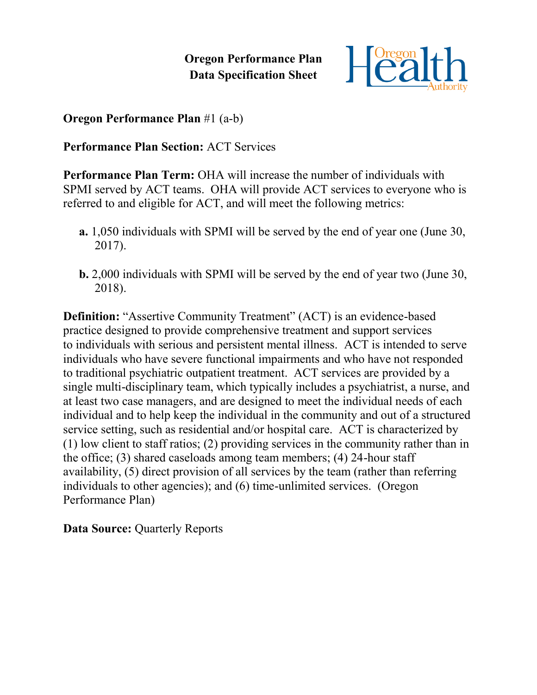**Oregon Performance Plan Data Specification Sheet**



**Oregon Performance Plan** #1 (a-b)

**Performance Plan Section:** ACT Services

**Performance Plan Term:** OHA will increase the number of individuals with SPMI served by ACT teams. OHA will provide ACT services to everyone who is referred to and eligible for ACT, and will meet the following metrics:

- **a.** 1,050 individuals with SPMI will be served by the end of year one (June 30, 2017).
- **b.** 2,000 individuals with SPMI will be served by the end of year two (June 30, 2018).

**Definition:** "Assertive Community Treatment" (ACT) is an evidence-based practice designed to provide comprehensive treatment and support services to individuals with serious and persistent mental illness. ACT is intended to serve individuals who have severe functional impairments and who have not responded to traditional psychiatric outpatient treatment. ACT services are provided by a single multi-disciplinary team, which typically includes a psychiatrist, a nurse, and at least two case managers, and are designed to meet the individual needs of each individual and to help keep the individual in the community and out of a structured service setting, such as residential and/or hospital care. ACT is characterized by (1) low client to staff ratios; (2) providing services in the community rather than in the office; (3) shared caseloads among team members; (4) 24-hour staff availability, (5) direct provision of all services by the team (rather than referring individuals to other agencies); and (6) time-unlimited services. (Oregon Performance Plan)

**Data Source: Quarterly Reports**